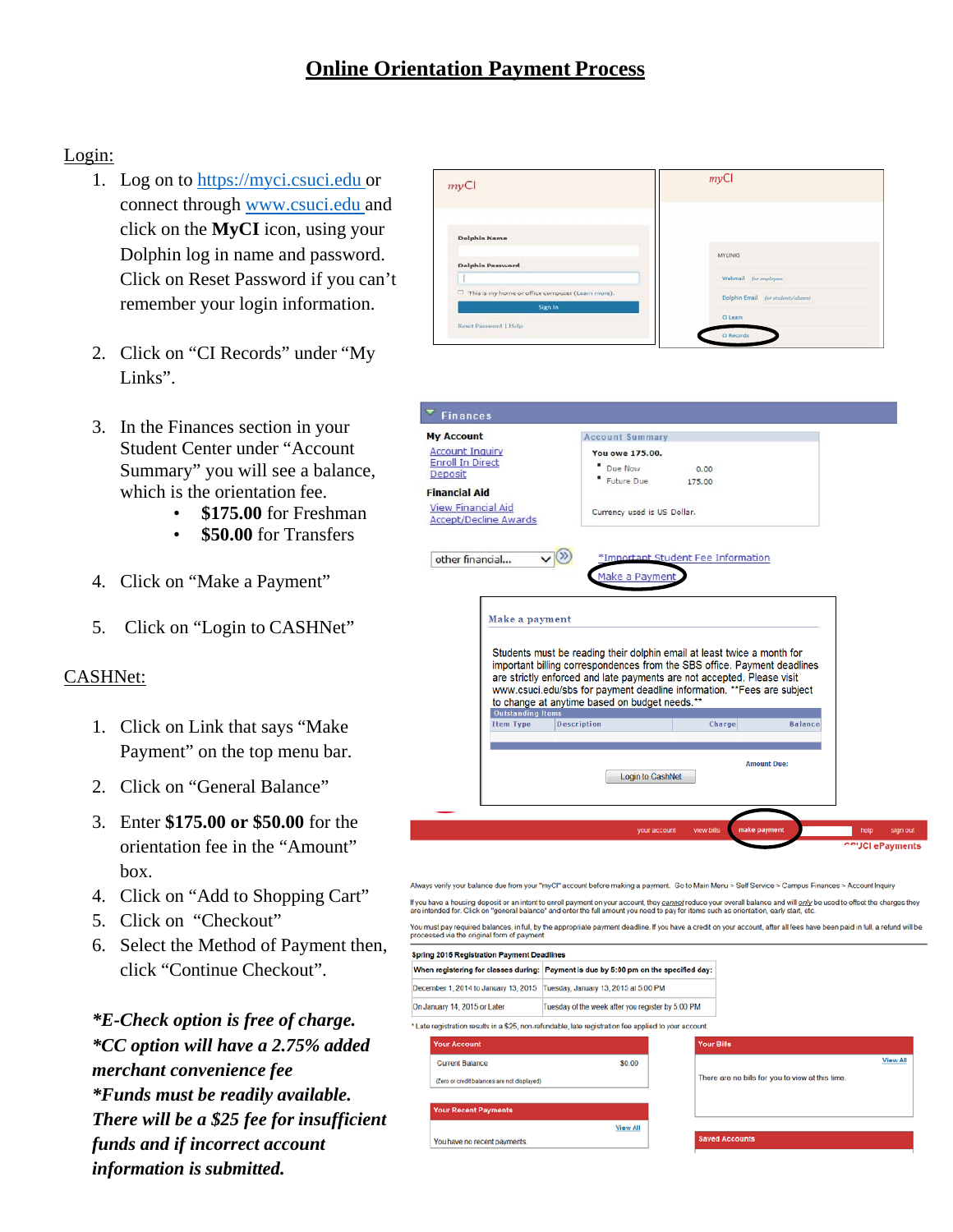## Login:

- 1. Log on to [https://myci.csuci.edu o](https://myci.csuci.edu/)r connect through [www.csuci.edu a](http://www.csuci.edu/)nd click on the **MyCI** icon, using your Dolphin log in name and password. Click on Reset Password if you can't remember your login information.
- 2. Click on "CI Records" under "My Links".
- 3. In the Finances section in your Student Center under "Account Summary" you will see a balance, which is the orientation fee.
	- **\$175.00** for Freshman
	- **\$50.00** for Transfers
- 4. Click on "Make a Payment"
- 5. Click on "Login to CASHNet"

## CASHNet:

- 1. Click on Link that says "Make Payment" on the top menu bar.
- 2. Click on "General Balance"
- 3. Enter **\$175.00 or \$50.00** for the orientation fee in the "Amount" box.
- 4. Click on "Add to Shopping Cart"
- 5. Click on "Checkout"
- 6. Select the Method of Payment then, click "Continue Checkout".

*\*E-Check option is free of charge. \*CC option will have a 2.75% added merchant convenience fee \*Funds must be readily available. There will be a \$25 fee for insufficient funds and if incorrect account information is submitted.*



| pring 2015 Registration Payment Deadlines                                                           |                                             |                                                                                                                                                                                     |
|-----------------------------------------------------------------------------------------------------|---------------------------------------------|-------------------------------------------------------------------------------------------------------------------------------------------------------------------------------------|
|                                                                                                     |                                             |                                                                                                                                                                                     |
|                                                                                                     |                                             |                                                                                                                                                                                     |
|                                                                                                     |                                             |                                                                                                                                                                                     |
| Late registration results in a \$25, non-refundable, late registration fee applied to your account. |                                             |                                                                                                                                                                                     |
|                                                                                                     | <b>Your Bills</b>                           |                                                                                                                                                                                     |
| \$0.00                                                                                              |                                             | <b>View All</b>                                                                                                                                                                     |
|                                                                                                     |                                             | There are no bills for you to view at this time.                                                                                                                                    |
|                                                                                                     |                                             |                                                                                                                                                                                     |
|                                                                                                     |                                             |                                                                                                                                                                                     |
| <b>View All</b>                                                                                     |                                             |                                                                                                                                                                                     |
|                                                                                                     |                                             | <b>Saved Accounts</b>                                                                                                                                                               |
|                                                                                                     | (Zero or credit balances are not displayed) | When registering for classes during:   Payment is due by 5:00 pm on the specified day:<br>Tuesday, January 13, 2015 at 5:00 PM<br>Tuesday of the week after you register by 5:00 PM |